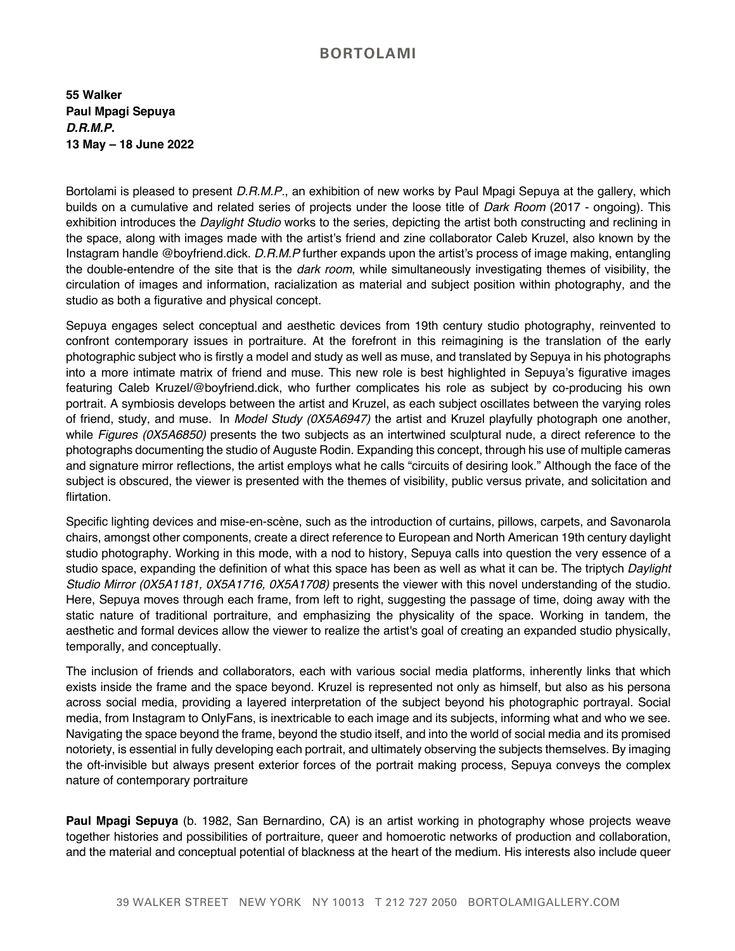## **BORTOLAMI**

**55 Walker Paul Mpagi Sepuya** *D.R.M.P.* **13 May – 18 June 2022**

Bortolami is pleased to present *D.R.M.P.*, an exhibition of new works by Paul Mpagi Sepuya at the gallery, which builds on a cumulative and related series of projects under the loose title of *Dark Room* (2017 - ongoing). This exhibition introduces the *Daylight Studio* works to the series, depicting the artist both constructing and reclining in the space, along with images made with the artist's friend and zine collaborator Caleb Kruzel, also known by the Instagram handle @boyfriend.dick. *D.R.M.P* further expands upon the artist's process of image making, entangling the double-entendre of the site that is the *dark room*, while simultaneously investigating themes of visibility, the circulation of images and information, racialization as material and subject position within photography, and the studio as both a figurative and physical concept.

Sepuya engages select conceptual and aesthetic devices from 19th century studio photography, reinvented to confront contemporary issues in portraiture. At the forefront in this reimagining is the translation of the early photographic subject who is firstly a model and study as well as muse, and translated by Sepuya in his photographs into a more intimate matrix of friend and muse. This new role is best highlighted in Sepuya's figurative images featuring Caleb Kruzel/@boyfriend.dick, who further complicates his role as subject by co-producing his own portrait. A symbiosis develops between the artist and Kruzel, as each subject oscillates between the varying roles of friend, study, and muse. In *Model Study (0X5A6947)* the artist and Kruzel playfully photograph one another, while *Figures (0X5A6850)* presents the two subjects as an intertwined sculptural nude, a direct reference to the photographs documenting the studio of Auguste Rodin. Expanding this concept, through his use of multiple cameras and signature mirror reflections, the artist employs what he calls "circuits of desiring look." Although the face of the subject is obscured, the viewer is presented with the themes of visibility, public versus private, and solicitation and flirtation.

Specific lighting devices and mise-en-scène, such as the introduction of curtains, pillows, carpets, and Savonarola chairs, amongst other components, create a direct reference to European and North American 19th century daylight studio photography. Working in this mode, with a nod to history, Sepuya calls into question the very essence of a studio space, expanding the definition of what this space has been as well as what it can be. The triptych *Daylight Studio Mirror (0X5A1181, 0X5A1716, 0X5A1708)* presents the viewer with this novel understanding of the studio. Here, Sepuya moves through each frame, from left to right, suggesting the passage of time, doing away with the static nature of traditional portraiture, and emphasizing the physicality of the space. Working in tandem, the aesthetic and formal devices allow the viewer to realize the artist's goal of creating an expanded studio physically, temporally, and conceptually.

The inclusion of friends and collaborators, each with various social media platforms, inherently links that which exists inside the frame and the space beyond. Kruzel is represented not only as himself, but also as his persona across social media, providing a layered interpretation of the subject beyond his photographic portrayal. Social media, from Instagram to OnlyFans, is inextricable to each image and its subjects, informing what and who we see. Navigating the space beyond the frame, beyond the studio itself, and into the world of social media and its promised notoriety, is essential in fully developing each portrait, and ultimately observing the subjects themselves. By imaging the oft-invisible but always present exterior forces of the portrait making process, Sepuya conveys the complex nature of contemporary portraiture

**Paul Mpagi Sepuya** (b. 1982, San Bernardino, CA) is an artist working in photography whose projects weave together histories and possibilities of portraiture, queer and homoerotic networks of production and collaboration, and the material and conceptual potential of blackness at the heart of the medium. His interests also include queer